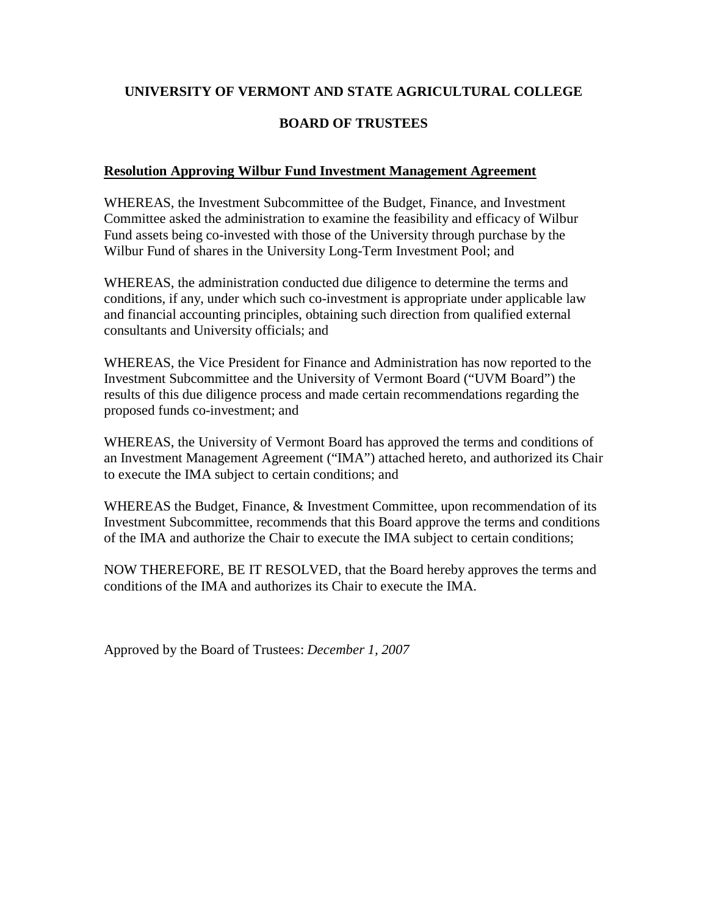# **UNIVERSITY OF VERMONT AND STATE AGRICULTURAL COLLEGE**

## **BOARD OF TRUSTEES**

## **Resolution Approving Wilbur Fund Investment Management Agreement**

WHEREAS, the Investment Subcommittee of the Budget, Finance, and Investment Committee asked the administration to examine the feasibility and efficacy of Wilbur Fund assets being co-invested with those of the University through purchase by the Wilbur Fund of shares in the University Long-Term Investment Pool; and

WHEREAS, the administration conducted due diligence to determine the terms and conditions, if any, under which such co-investment is appropriate under applicable law and financial accounting principles, obtaining such direction from qualified external consultants and University officials; and

WHEREAS, the Vice President for Finance and Administration has now reported to the Investment Subcommittee and the University of Vermont Board ("UVM Board") the results of this due diligence process and made certain recommendations regarding the proposed funds co-investment; and

WHEREAS, the University of Vermont Board has approved the terms and conditions of an Investment Management Agreement ("IMA") attached hereto, and authorized its Chair to execute the IMA subject to certain conditions; and

WHEREAS the Budget, Finance, & Investment Committee, upon recommendation of its Investment Subcommittee, recommends that this Board approve the terms and conditions of the IMA and authorize the Chair to execute the IMA subject to certain conditions;

NOW THEREFORE, BE IT RESOLVED, that the Board hereby approves the terms and conditions of the IMA and authorizes its Chair to execute the IMA.

Approved by the Board of Trustees: *December 1, 2007*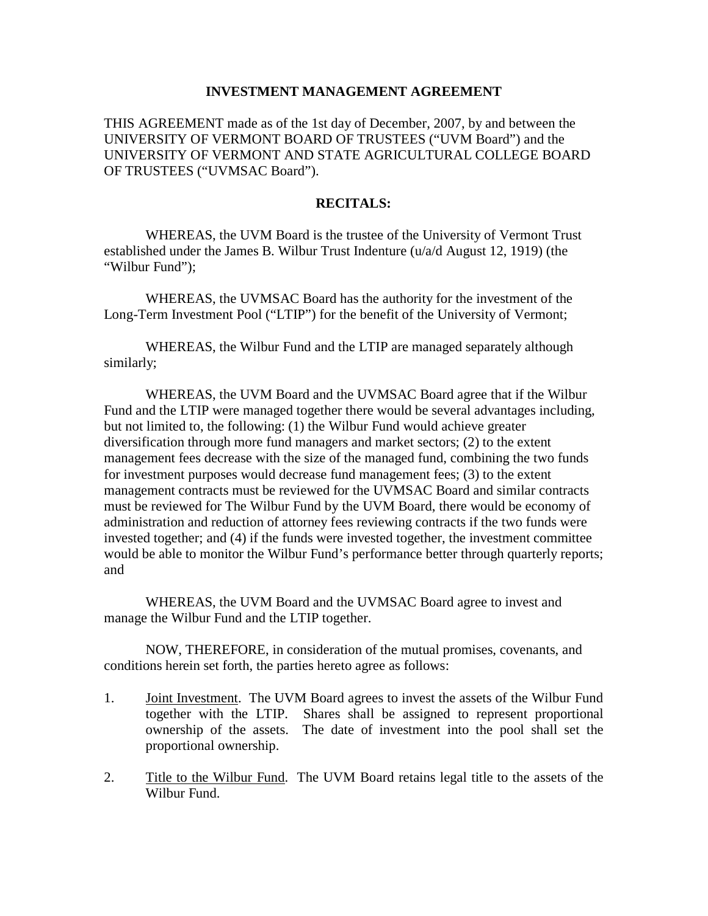#### **INVESTMENT MANAGEMENT AGREEMENT**

THIS AGREEMENT made as of the 1st day of December, 2007, by and between the UNIVERSITY OF VERMONT BOARD OF TRUSTEES ("UVM Board") and the UNIVERSITY OF VERMONT AND STATE AGRICULTURAL COLLEGE BOARD OF TRUSTEES ("UVMSAC Board").

### **RECITALS:**

WHEREAS, the UVM Board is the trustee of the University of Vermont Trust established under the James B. Wilbur Trust Indenture (u/a/d August 12, 1919) (the "Wilbur Fund");

WHEREAS, the UVMSAC Board has the authority for the investment of the Long-Term Investment Pool ("LTIP") for the benefit of the University of Vermont;

WHEREAS, the Wilbur Fund and the LTIP are managed separately although similarly;

WHEREAS, the UVM Board and the UVMSAC Board agree that if the Wilbur Fund and the LTIP were managed together there would be several advantages including, but not limited to, the following: (1) the Wilbur Fund would achieve greater diversification through more fund managers and market sectors; (2) to the extent management fees decrease with the size of the managed fund, combining the two funds for investment purposes would decrease fund management fees; (3) to the extent management contracts must be reviewed for the UVMSAC Board and similar contracts must be reviewed for The Wilbur Fund by the UVM Board, there would be economy of administration and reduction of attorney fees reviewing contracts if the two funds were invested together; and (4) if the funds were invested together, the investment committee would be able to monitor the Wilbur Fund's performance better through quarterly reports; and

WHEREAS, the UVM Board and the UVMSAC Board agree to invest and manage the Wilbur Fund and the LTIP together.

NOW, THEREFORE, in consideration of the mutual promises, covenants, and conditions herein set forth, the parties hereto agree as follows:

- 1. Joint Investment. The UVM Board agrees to invest the assets of the Wilbur Fund together with the LTIP. Shares shall be assigned to represent proportional ownership of the assets. The date of investment into the pool shall set the proportional ownership.
- 2. Title to the Wilbur Fund. The UVM Board retains legal title to the assets of the Wilbur Fund.